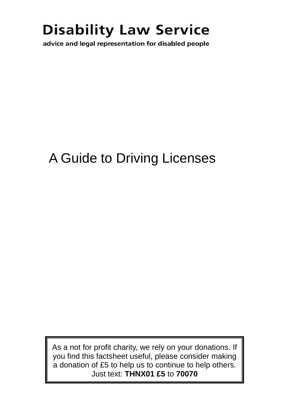# **Disability Law Service**

advice and legal representation for disabled people

## A Guide to Driving Licenses

As a not for profit charity, we rely on your donations. If you find this factsheet useful, please consider making a donation of £5 to help us to continue to help others. Just text: **THNX01 £5** to **70070**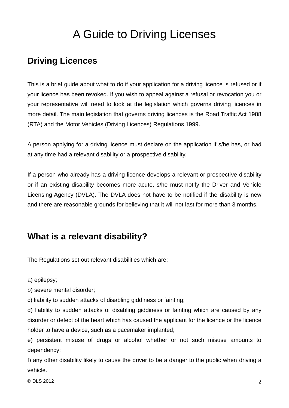## A Guide to Driving Licenses

### **Driving Licences**

This is a brief guide about what to do if your application for a driving licence is refused or if your licence has been revoked. If you wish to appeal against a refusal or revocation you or your representative will need to look at the legislation which governs driving licences in more detail. The main legislation that governs driving licences is the Road Traffic Act 1988 (RTA) and the Motor Vehicles (Driving Licences) Regulations 1999.

A person applying for a driving licence must declare on the application if s/he has, or had at any time had a relevant disability or a prospective disability.

If a person who already has a driving licence develops a relevant or prospective disability or if an existing disability becomes more acute, s/he must notify the Driver and Vehicle Licensing Agency (DVLA). The DVLA does not have to be notified if the disability is new and there are reasonable grounds for believing that it will not last for more than 3 months.

## **What is a relevant disability?**

The Regulations set out relevant disabilities which are:

a) epilepsy;

b) severe mental disorder;

c) liability to sudden attacks of disabling giddiness or fainting;

d) liability to sudden attacks of disabling giddiness or fainting which are caused by any disorder or defect of the heart which has caused the applicant for the licence or the licence holder to have a device, such as a pacemaker implanted;

e) persistent misuse of drugs or alcohol whether or not such misuse amounts to dependency;

f) any other disability likely to cause the driver to be a danger to the public when driving a vehicle.

© DLS 2012  $\sim$  2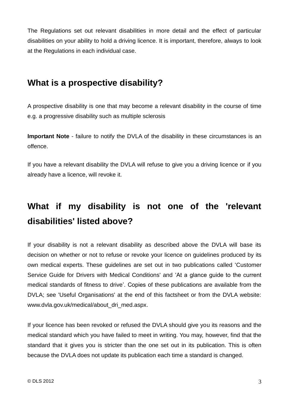The Regulations set out relevant disabilities in more detail and the effect of particular disabilities on your ability to hold a driving licence. It is important, therefore, always to look at the Regulations in each individual case.

## **What is a prospective disability?**

A prospective disability is one that may become a relevant disability in the course of time e.g. a progressive disability such as multiple sclerosis

**Important Note** - failure to notify the DVLA of the disability in these circumstances is an offence.

If you have a relevant disability the DVLA will refuse to give you a driving licence or if you already have a licence, will revoke it.

## **What if my disability is not one of the 'relevant disabilities' listed above?**

If your disability is not a relevant disability as described above the DVLA will base its decision on whether or not to refuse or revoke your licence on guidelines produced by its own medical experts. These guidelines are set out in two publications called 'Customer Service Guide for Drivers with Medical Conditions' and 'At a glance guide to the current medical standards of fitness to drive'. Copies of these publications are available from the DVLA; see 'Useful Organisations' at the end of this factsheet or from the DVLA website: www.dvla.gov.uk/medical/about\_dri\_med.aspx.

If your licence has been revoked or refused the DVLA should give you its reasons and the medical standard which you have failed to meet in writing. You may, however, find that the standard that it gives you is stricter than the one set out in its publication. This is often because the DVLA does not update its publication each time a standard is changed.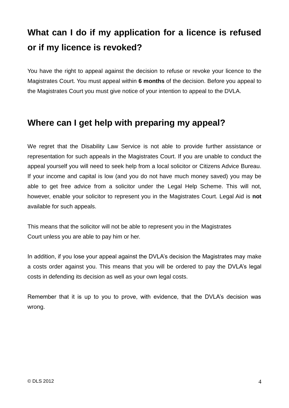## **What can I do if my application for a licence is refused or if my licence is revoked?**

You have the right to appeal against the decision to refuse or revoke your licence to the Magistrates Court. You must appeal within **6 months** of the decision. Before you appeal to the Magistrates Court you must give notice of your intention to appeal to the DVLA.

### **Where can I get help with preparing my appeal?**

We regret that the Disability Law Service is not able to provide further assistance or representation for such appeals in the Magistrates Court. If you are unable to conduct the appeal yourself you will need to seek help from a local solicitor or Citizens Advice Bureau. If your income and capital is low (and you do not have much money saved) you may be able to get free advice from a solicitor under the Legal Help Scheme. This will not, however, enable your solicitor to represent you in the Magistrates Court. Legal Aid is **not**  available for such appeals.

This means that the solicitor will not be able to represent you in the Magistrates Court unless you are able to pay him or her.

In addition, if you lose your appeal against the DVLA's decision the Magistrates may make a costs order against you. This means that you will be ordered to pay the DVLA's legal costs in defending its decision as well as your own legal costs.

Remember that it is up to you to prove, with evidence, that the DVLA's decision was wrong.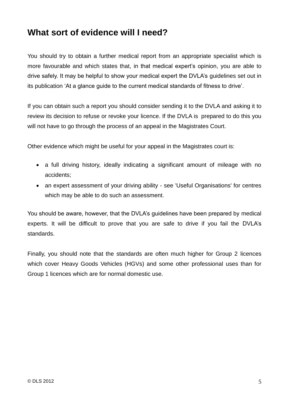## **What sort of evidence will I need?**

You should try to obtain a further medical report from an appropriate specialist which is more favourable and which states that, in that medical expert's opinion, you are able to drive safely. It may be helpful to show your medical expert the DVLA's guidelines set out in its publication 'At a glance guide to the current medical standards of fitness to drive'.

If you can obtain such a report you should consider sending it to the DVLA and asking it to review its decision to refuse or revoke your licence. If the DVLA is prepared to do this you will not have to go through the process of an appeal in the Magistrates Court.

Other evidence which might be useful for your appeal in the Magistrates court is:

- a full driving history, ideally indicating a significant amount of mileage with no accidents;
- an expert assessment of your driving ability see 'Useful Organisations' for centres which may be able to do such an assessment.

You should be aware, however, that the DVLA's guidelines have been prepared by medical experts. It will be difficult to prove that you are safe to drive if you fail the DVLA's standards.

Finally, you should note that the standards are often much higher for Group 2 licences which cover Heavy Goods Vehicles (HGVs) and some other professional uses than for Group 1 licences which are for normal domestic use.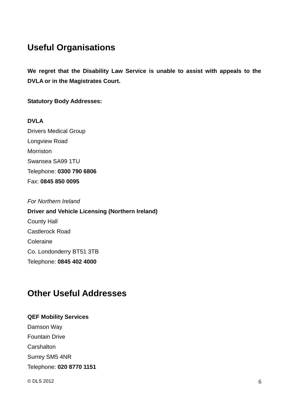## **Useful Organisations**

**We regret that the Disability Law Service is unable to assist with appeals to the DVLA or in the Magistrates Court.**

**Statutory Body Addresses:**

**DVLA** Drivers Medical Group Longview Road Morriston Swansea SA99 1TU Telephone: **0300 790 6806** Fax: **0845 850 0095**

*For Northern Ireland* **Driver and Vehicle Licensing (Northern Ireland)** County Hall Castlerock Road Coleraine Co. Londonderry BT51 3TB Telephone: **0845 402 4000**

## **Other Useful Addresses**

#### **QEF Mobility Services**

Damson Way Fountain Drive **Carshalton** Surrey SM5 4NR Telephone: **020 8770 1151**

 $\odot$  DLS 2012 6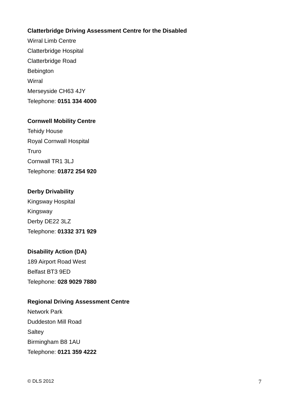#### **Clatterbridge Driving Assessment Centre for the Disabled**

Wirral Limb Centre Clatterbridge Hospital Clatterbridge Road Bebington **Wirral** Merseyside CH63 4JY Telephone: **0151 334 4000**

#### **Cornwell Mobility Centre**

Tehidy House Royal Cornwall Hospital Truro Cornwall TR1 3LJ Telephone: **01872 254 920**

#### **Derby Drivability**

Kingsway Hospital Kingsway Derby DE22 3LZ Telephone: **01332 371 929**

#### **Disability Action (DA)**

189 Airport Road West Belfast BT3 9ED Telephone: **028 9029 7880**

#### **Regional Driving Assessment Centre**

Network Park Duddeston Mill Road **Saltey** Birmingham B8 1AU Telephone: **0121 359 4222**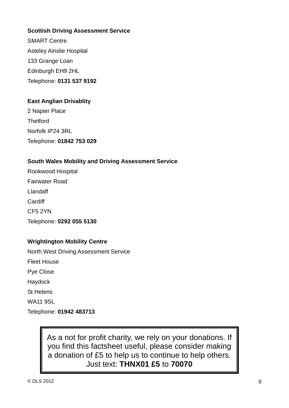#### **Scottish Driving Assessment Service**

SMART Centre Asteley Ainslie Hospital 133 Grange Loan Edinburgh EH9 2HL Telephone: **0131 537 9192**

#### **East Anglian Drivablity**

2 Napier Place **Thetford** Norfolk IP24 3RL Telephone: **01842 753 029**

#### **South Wales Mobility and Driving Assessment Service**

Rookwood Hospital Fairwater Road Llandaff **Cardiff** CF5 2YN Telephone: **0292 055 5130**

#### **Wrightington Mobility Centre**

North West Driving Assessment Service Fleet House Pye Close Haydock St Helens WA11 9SL Telephone: **01942 483713**

> As a not for profit charity, we rely on your donations. If you find this factsheet useful, please consider making a donation of £5 to help us to continue to help others. Just text: **THNX01 £5** to **70070**